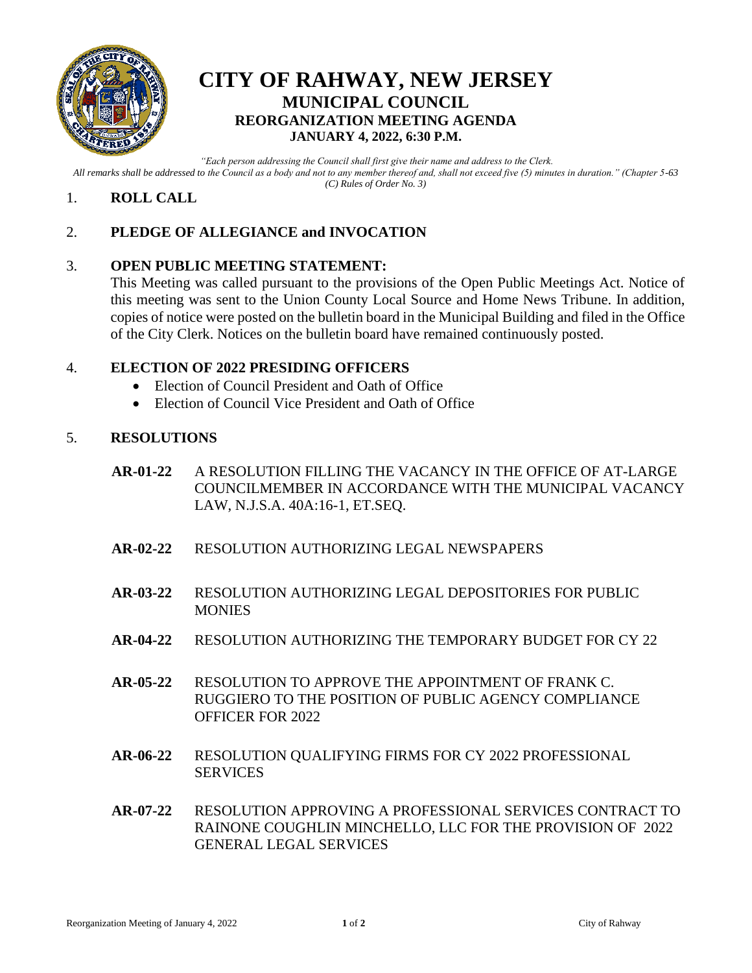

## **CITY OF RAHWAY, NEW JERSEY MUNICIPAL COUNCIL REORGANIZATION MEETING AGENDA JANUARY 4, 2022, 6:30 P.M.**

*"Each person addressing the Council shall first give their name and address to the Clerk. All remarks shall be addressed to the Council as a body and not to any member thereof and, shall not exceed five (5) minutes in duration." (Chapter 5-63 (C) Rules of Order No. 3)*

## 1. **ROLL CALL**

## 2. **PLEDGE OF ALLEGIANCE and INVOCATION**

## 3. **OPEN PUBLIC MEETING STATEMENT:**

This Meeting was called pursuant to the provisions of the Open Public Meetings Act. Notice of this meeting was sent to the Union County Local Source and Home News Tribune. In addition, copies of notice were posted on the bulletin board in the Municipal Building and filed in the Office of the City Clerk. Notices on the bulletin board have remained continuously posted.

### 4. **ELECTION OF 2022 PRESIDING OFFICERS**

- Election of Council President and Oath of Office
- Election of Council Vice President and Oath of Office

### 5. **RESOLUTIONS**

- **AR-01-22** A RESOLUTION FILLING THE VACANCY IN THE OFFICE OF AT-LARGE COUNCILMEMBER IN ACCORDANCE WITH THE MUNICIPAL VACANCY LAW, N.J.S.A. 40A:16-1, ET.SEQ.
- **AR-02-22** RESOLUTION AUTHORIZING LEGAL NEWSPAPERS
- **AR-03-22** RESOLUTION AUTHORIZING LEGAL DEPOSITORIES FOR PUBLIC **MONIES**
- **AR-04-22** RESOLUTION AUTHORIZING THE TEMPORARY BUDGET FOR CY 22
- **AR-05-22** RESOLUTION TO APPROVE THE APPOINTMENT OF FRANK C. RUGGIERO TO THE POSITION OF PUBLIC AGENCY COMPLIANCE OFFICER FOR 2022
- **AR-06-22** RESOLUTION QUALIFYING FIRMS FOR CY 2022 PROFESSIONAL SERVICES
- **AR-07-22** RESOLUTION APPROVING A PROFESSIONAL SERVICES CONTRACT TO RAINONE COUGHLIN MINCHELLO, LLC FOR THE PROVISION OF 2022 GENERAL LEGAL SERVICES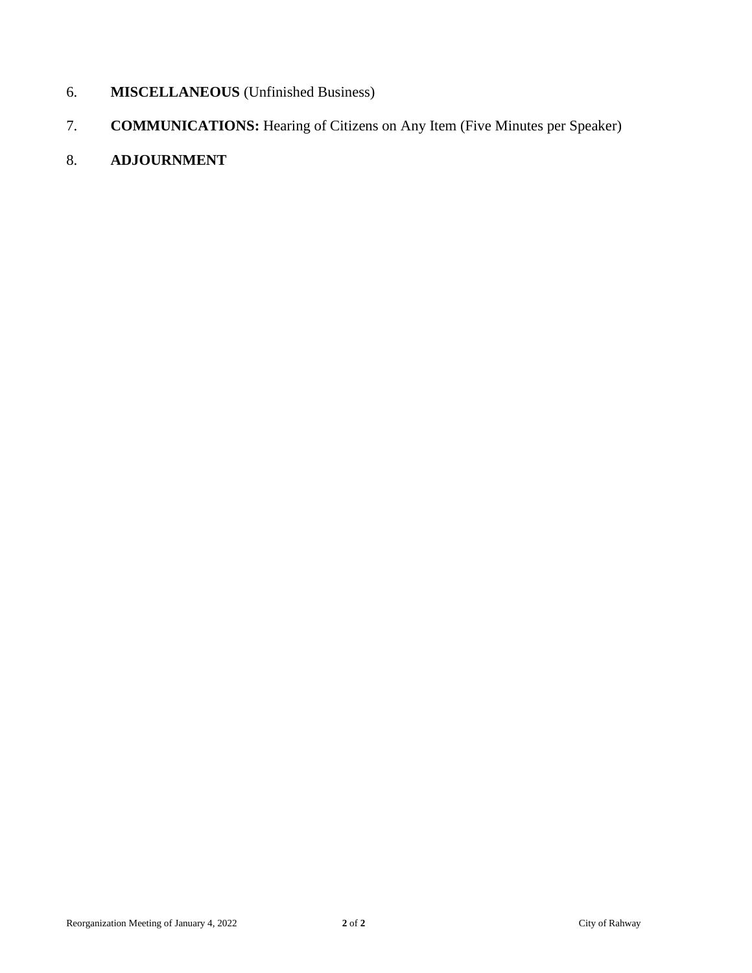- 6. **MISCELLANEOUS** (Unfinished Business)
- 7. **COMMUNICATIONS:** Hearing of Citizens on Any Item (Five Minutes per Speaker)
- 8. **ADJOURNMENT**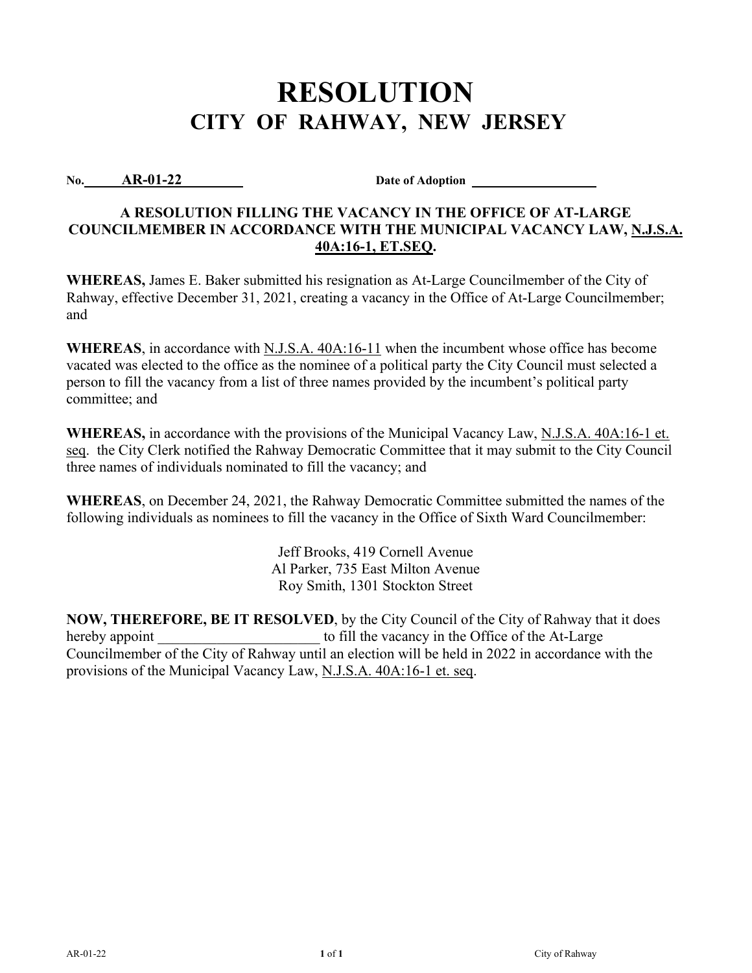**No. AR-01-22 Date of Adoption** 

## **A RESOLUTION FILLING THE VACANCY IN THE OFFICE OF AT-LARGE COUNCILMEMBER IN ACCORDANCE WITH THE MUNICIPAL VACANCY LAW, N.J.S.A. 40A:16-1, ET.SEQ.**

**WHEREAS,** James E. Baker submitted his resignation as At-Large Councilmember of the City of Rahway, effective December 31, 2021, creating a vacancy in the Office of At-Large Councilmember; and

**WHEREAS**, in accordance with N.J.S.A. 40A:16-11 when the incumbent whose office has become vacated was elected to the office as the nominee of a political party the City Council must selected a person to fill the vacancy from a list of three names provided by the incumbent's political party committee; and

**WHEREAS,** in accordance with the provisions of the Municipal Vacancy Law, N.J.S.A. 40A:16-1 et. seq. the City Clerk notified the Rahway Democratic Committee that it may submit to the City Council three names of individuals nominated to fill the vacancy; and

**WHEREAS**, on December 24, 2021, the Rahway Democratic Committee submitted the names of the following individuals as nominees to fill the vacancy in the Office of Sixth Ward Councilmember:

> Jeff Brooks, 419 Cornell Avenue Al Parker, 735 East Milton Avenue Roy Smith, 1301 Stockton Street

**NOW, THEREFORE, BE IT RESOLVED**, by the City Council of the City of Rahway that it does hereby appoint to fill the vacancy in the Office of the At-Large Councilmember of the City of Rahway until an election will be held in 2022 in accordance with the provisions of the Municipal Vacancy Law, N.J.S.A. 40A:16-1 et. seq.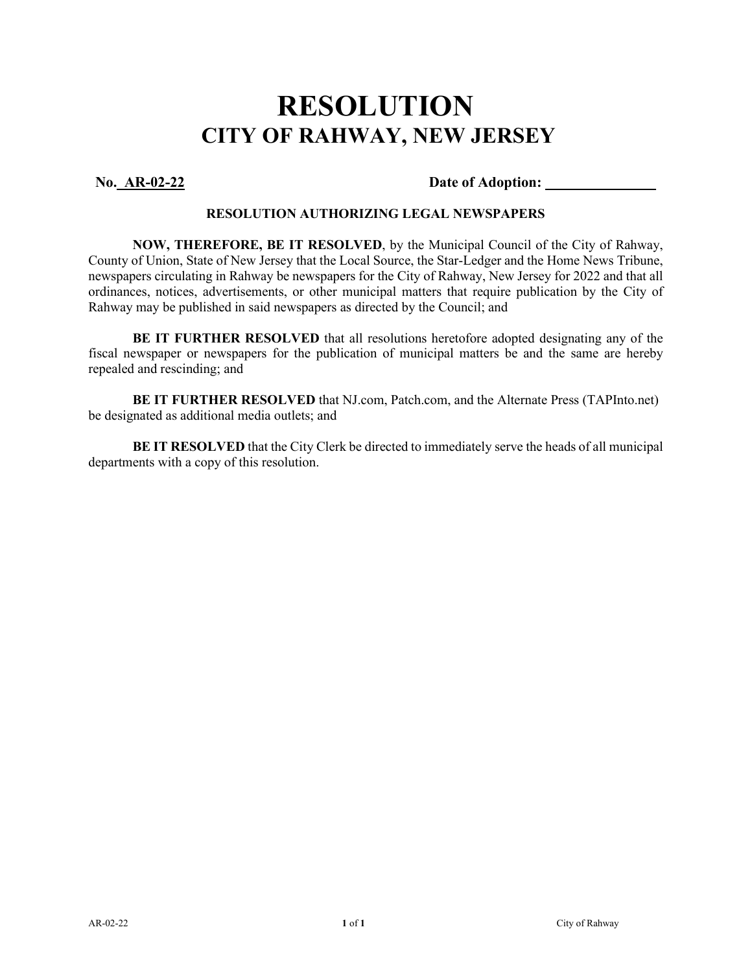**No. AR-02-22 Date of Adoption:** 

### **RESOLUTION AUTHORIZING LEGAL NEWSPAPERS**

**NOW, THEREFORE, BE IT RESOLVED**, by the Municipal Council of the City of Rahway, County of Union, State of New Jersey that the Local Source, the Star-Ledger and the Home News Tribune, newspapers circulating in Rahway be newspapers for the City of Rahway, New Jersey for 2022 and that all ordinances, notices, advertisements, or other municipal matters that require publication by the City of Rahway may be published in said newspapers as directed by the Council; and

**BE IT FURTHER RESOLVED** that all resolutions heretofore adopted designating any of the fiscal newspaper or newspapers for the publication of municipal matters be and the same are hereby repealed and rescinding; and

**BE IT FURTHER RESOLVED** that NJ.com, Patch.com, and the Alternate Press (TAPInto.net) be designated as additional media outlets; and

**BE IT RESOLVED** that the City Clerk be directed to immediately serve the heads of all municipal departments with a copy of this resolution.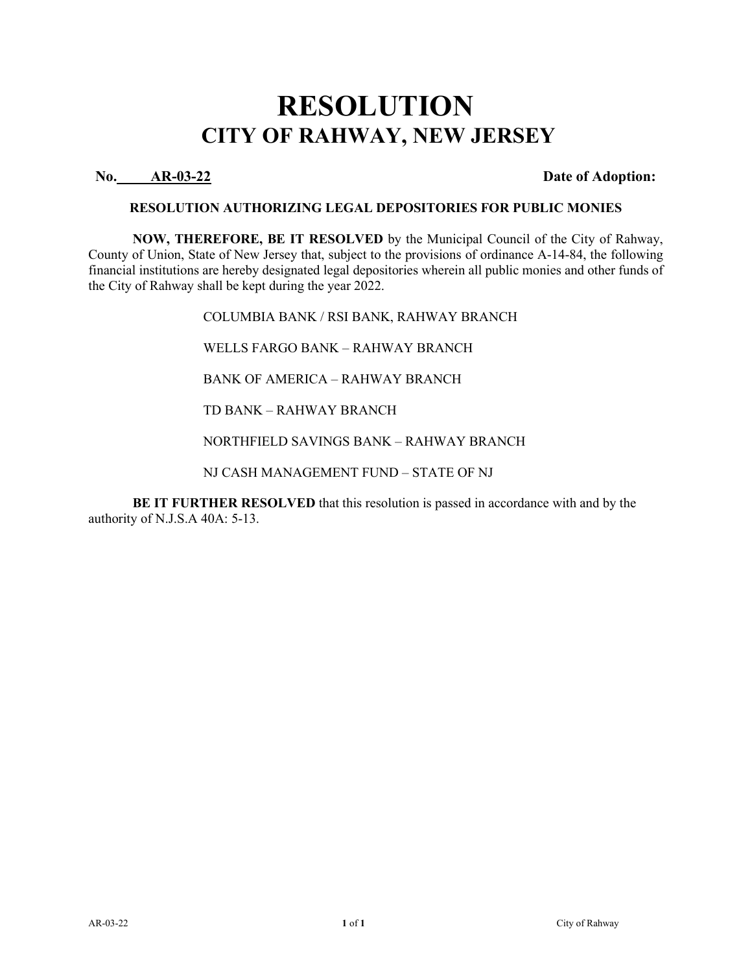**No. AR-03-22 Date of Adoption:**

### **RESOLUTION AUTHORIZING LEGAL DEPOSITORIES FOR PUBLIC MONIES**

**NOW, THEREFORE, BE IT RESOLVED** by the Municipal Council of the City of Rahway, County of Union, State of New Jersey that, subject to the provisions of ordinance A-14-84, the following financial institutions are hereby designated legal depositories wherein all public monies and other funds of the City of Rahway shall be kept during the year 2022.

> COLUMBIA BANK / RSI BANK, RAHWAY BRANCH WELLS FARGO BANK – RAHWAY BRANCH BANK OF AMERICA – RAHWAY BRANCH TD BANK – RAHWAY BRANCH NORTHFIELD SAVINGS BANK – RAHWAY BRANCH NJ CASH MANAGEMENT FUND – STATE OF NJ

**BE IT FURTHER RESOLVED** that this resolution is passed in accordance with and by the authority of N.J.S.A 40A: 5-13.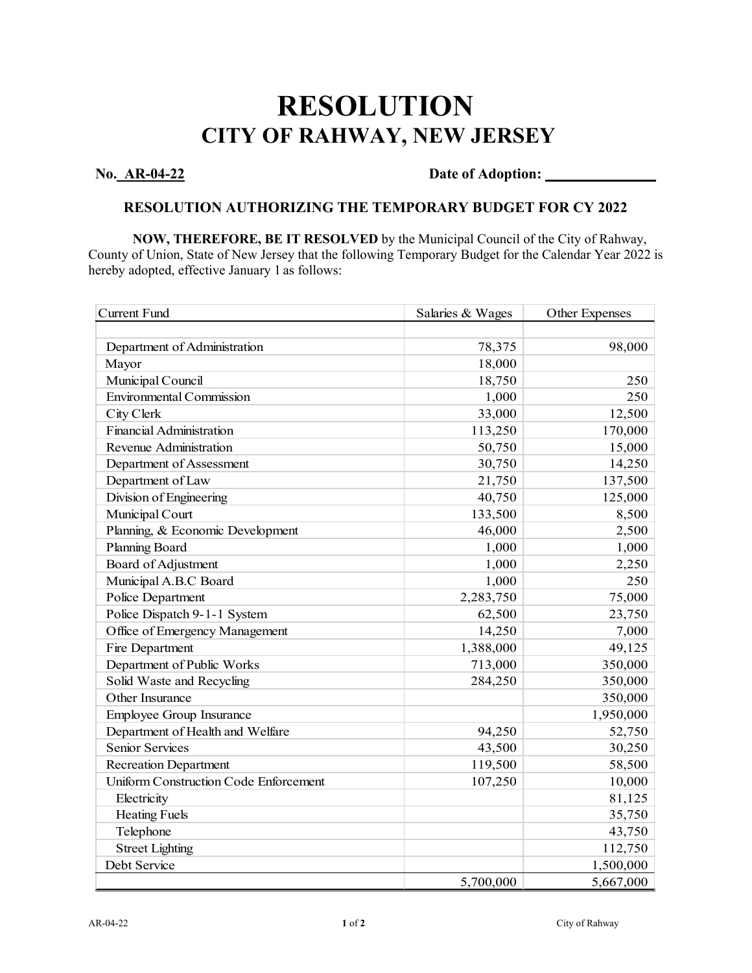## **No. AR-04-22 Date of Adoption:**

### **RESOLUTION AUTHORIZING THE TEMPORARY BUDGET FOR CY 2022**

**NOW, THEREFORE, BE IT RESOLVED** by the Municipal Council of the City of Rahway, County of Union, State of New Jersey that the following Temporary Budget for the Calendar Year 2022 is hereby adopted, effective January 1 as follows:

| <b>Current Fund</b>                   | Salaries & Wages | Other Expenses |
|---------------------------------------|------------------|----------------|
|                                       |                  |                |
| Department of Administration          | 78,375           | 98,000         |
| Mayor                                 | 18,000           |                |
| Municipal Council                     | 18,750           | 250            |
| <b>Environmental Commission</b>       | 1,000            | 250            |
| City Clerk                            | 33,000           | 12,500         |
| <b>Financial Administration</b>       | 113,250          | 170,000        |
| Revenue Administration                | 50,750           | 15,000         |
| Department of Assessment              | 30,750           | 14,250         |
| Department of Law                     | 21,750           | 137,500        |
| Division of Engineering               | 40,750           | 125,000        |
| Municipal Court                       | 133,500          | 8,500          |
| Planning, & Economic Development      | 46,000           | 2,500          |
| <b>Planning Board</b>                 | 1,000            | 1,000          |
| Board of Adjustment                   | 1,000            | 2,250          |
| Municipal A.B.C Board                 | 1,000            | 250            |
| Police Department                     | 2,283,750        | 75,000         |
| Police Dispatch 9-1-1 System          | 62,500           | 23,750         |
| Office of Emergency Management        | 14,250           | 7,000          |
| Fire Department                       | 1,388,000        | 49,125         |
| Department of Public Works            | 713,000          | 350,000        |
| Solid Waste and Recycling             | 284,250          | 350,000        |
| Other Insurance                       |                  | 350,000        |
| Employee Group Insurance              |                  | 1,950,000      |
| Department of Health and Welfare      | 94,250           | 52,750         |
| Senior Services                       | 43,500           | 30,250         |
| <b>Recreation Department</b>          | 119,500          | 58,500         |
| Uniform Construction Code Enforcement | 107,250          | 10,000         |
| Electricity                           |                  | 81,125         |
| <b>Heating Fuels</b>                  |                  | 35,750         |
| Telephone                             |                  | 43,750         |
| <b>Street Lighting</b>                |                  | 112,750        |
| Debt Service                          |                  | 1,500,000      |
|                                       | 5,700,000        | 5,667,000      |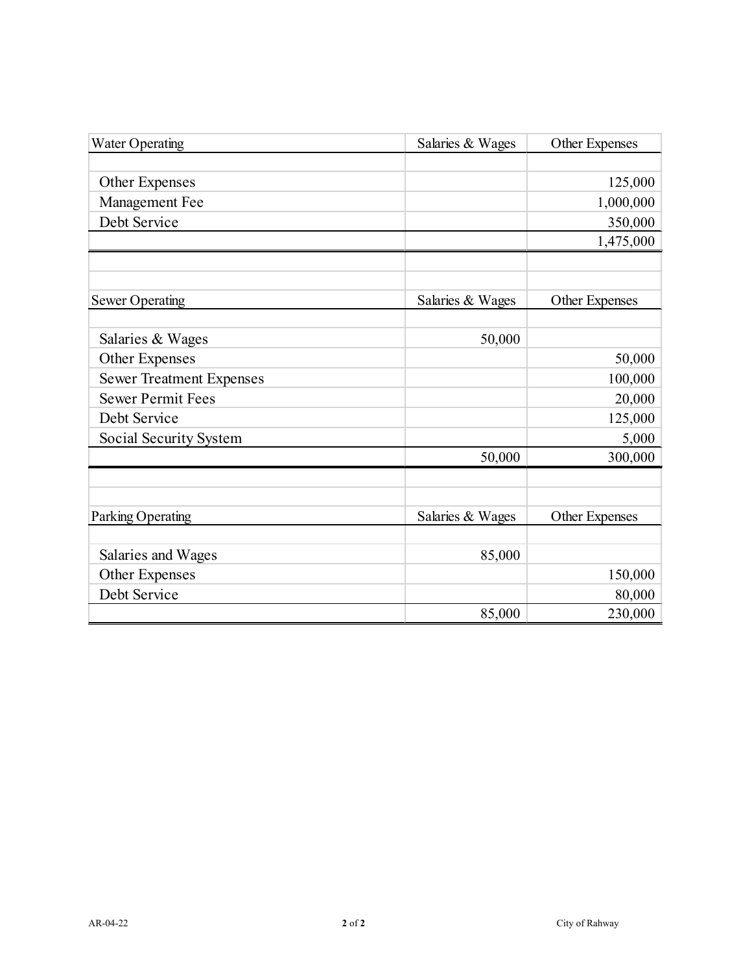| <b>Water Operating</b>          | Salaries & Wages | Other Expenses |
|---------------------------------|------------------|----------------|
|                                 |                  |                |
| <b>Other Expenses</b>           |                  | 125,000        |
| Management Fee                  |                  | 1,000,000      |
| Debt Service                    |                  | 350,000        |
|                                 |                  | 1,475,000      |
|                                 |                  |                |
| <b>Sewer Operating</b>          | Salaries & Wages | Other Expenses |
| Salaries & Wages                | 50,000           |                |
| <b>Other Expenses</b>           |                  | 50,000         |
| <b>Sewer Treatment Expenses</b> |                  | 100,000        |
| <b>Sewer Permit Fees</b>        |                  | 20,000         |
| Debt Service                    |                  | 125,000        |
| Social Security System          |                  | 5,000          |
|                                 | 50,000           | 300,000        |
|                                 |                  |                |
| Parking Operating               | Salaries & Wages | Other Expenses |
|                                 |                  |                |
| Salaries and Wages              | 85,000           |                |
| <b>Other Expenses</b>           |                  | 150,000        |
| Debt Service                    |                  | 80,000         |
|                                 | 85,000           | 230,000        |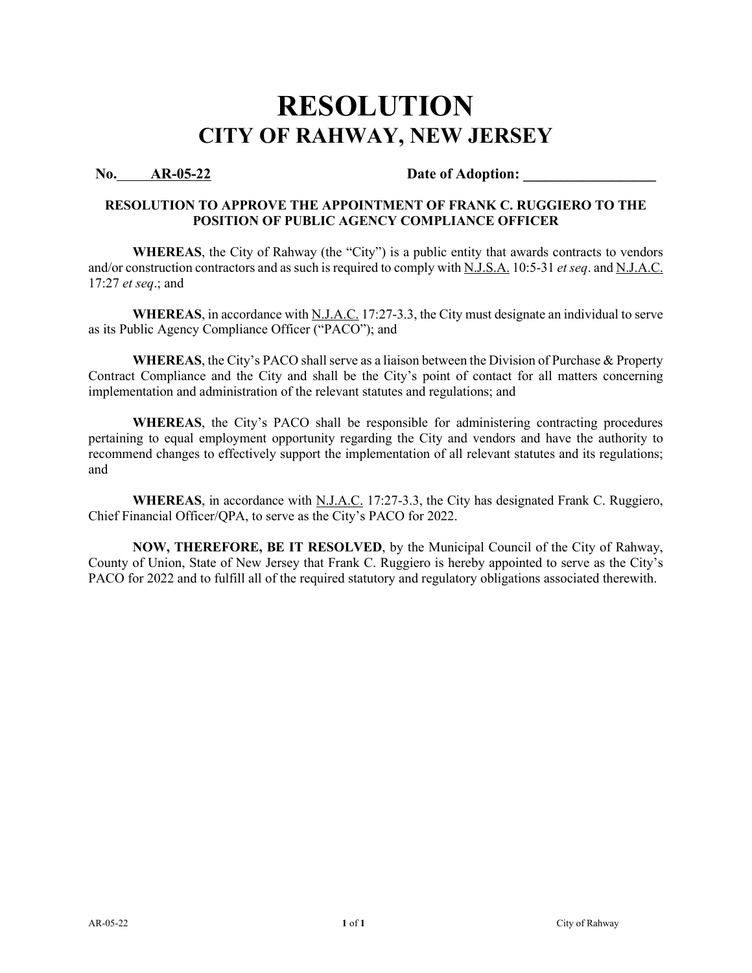### No. AR-05-22 Date of Adoption:

### **RESOLUTION TO APPROVE THE APPOINTMENT OF FRANK C. RUGGIERO TO THE POSITION OF PUBLIC AGENCY COMPLIANCE OFFICER**

**WHEREAS**, the City of Rahway (the "City") is a public entity that awards contracts to vendors and/or construction contractors and as such is required to comply with N.J.S.A. 10:5-31 *et seq*. and N.J.A.C. 17:27 *et seq*.; and

**WHEREAS**, in accordance with N.J.A.C. 17:27-3.3, the City must designate an individual to serve as its Public Agency Compliance Officer ("PACO"); and

**WHEREAS**, the City's PACO shall serve as a liaison between the Division of Purchase & Property Contract Compliance and the City and shall be the City's point of contact for all matters concerning implementation and administration of the relevant statutes and regulations; and

**WHEREAS**, the City's PACO shall be responsible for administering contracting procedures pertaining to equal employment opportunity regarding the City and vendors and have the authority to recommend changes to effectively support the implementation of all relevant statutes and its regulations; and

WHEREAS, in accordance with N.J.A.C. 17:27-3.3, the City has designated Frank C. Ruggiero, Chief Financial Officer/QPA, to serve as the City's PACO for 2022.

**NOW, THEREFORE, BE IT RESOLVED**, by the Municipal Council of the City of Rahway, County of Union, State of New Jersey that Frank C. Ruggiero is hereby appointed to serve as the City's PACO for 2022 and to fulfill all of the required statutory and regulatory obligations associated therewith.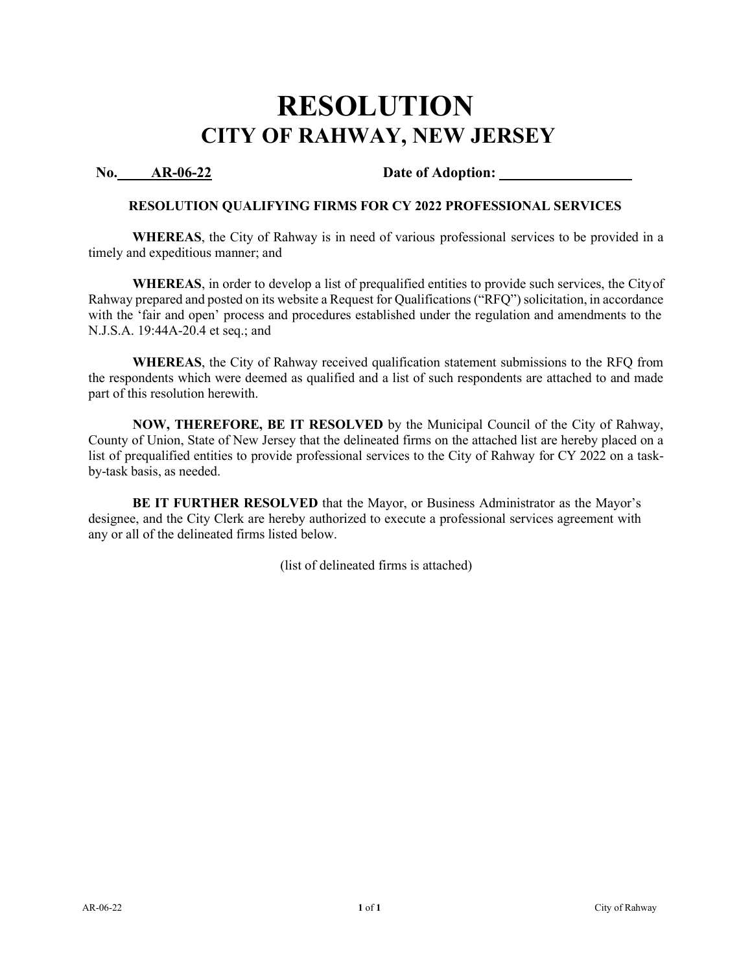### **No. AR-06-22 Date of Adoption:**

### **RESOLUTION QUALIFYING FIRMS FOR CY 2022 PROFESSIONAL SERVICES**

**WHEREAS**, the City of Rahway is in need of various professional services to be provided in a timely and expeditious manner; and

**WHEREAS**, in order to develop a list of prequalified entities to provide such services, the Cityof Rahway prepared and posted on its website a Request for Qualifications ("RFQ") solicitation, in accordance with the 'fair and open' process and procedures established under the regulation and amendments to the N.J.S.A. 19:44A-20.4 et seq.; and

**WHEREAS**, the City of Rahway received qualification statement submissions to the RFQ from the respondents which were deemed as qualified and a list of such respondents are attached to and made part of this resolution herewith.

**NOW, THEREFORE, BE IT RESOLVED** by the Municipal Council of the City of Rahway, County of Union, State of New Jersey that the delineated firms on the attached list are hereby placed on a list of prequalified entities to provide professional services to the City of Rahway for CY 2022 on a taskby-task basis, as needed.

**BE IT FURTHER RESOLVED** that the Mayor, or Business Administrator as the Mayor's designee, and the City Clerk are hereby authorized to execute a professional services agreement with any or all of the delineated firms listed below.

(list of delineated firms is attached)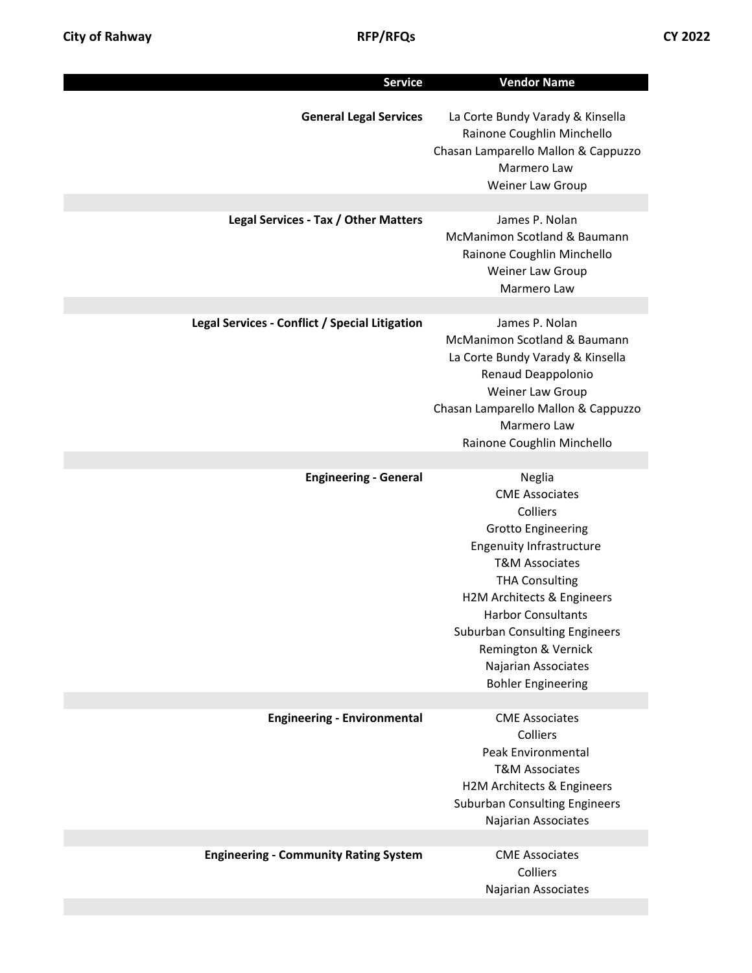| <b>Service</b>                                 | <b>Vendor Name</b>                                                                                                                                                                                                                                                                                                                              |
|------------------------------------------------|-------------------------------------------------------------------------------------------------------------------------------------------------------------------------------------------------------------------------------------------------------------------------------------------------------------------------------------------------|
| <b>General Legal Services</b>                  | La Corte Bundy Varady & Kinsella<br>Rainone Coughlin Minchello<br>Chasan Lamparello Mallon & Cappuzzo<br>Marmero Law<br>Weiner Law Group                                                                                                                                                                                                        |
|                                                |                                                                                                                                                                                                                                                                                                                                                 |
| Legal Services - Tax / Other Matters           | James P. Nolan<br>McManimon Scotland & Baumann<br>Rainone Coughlin Minchello<br>Weiner Law Group<br>Marmero Law                                                                                                                                                                                                                                 |
|                                                |                                                                                                                                                                                                                                                                                                                                                 |
| Legal Services - Conflict / Special Litigation | James P. Nolan<br>McManimon Scotland & Baumann<br>La Corte Bundy Varady & Kinsella<br>Renaud Deappolonio<br>Weiner Law Group<br>Chasan Lamparello Mallon & Cappuzzo<br>Marmero Law<br>Rainone Coughlin Minchello                                                                                                                                |
|                                                |                                                                                                                                                                                                                                                                                                                                                 |
| <b>Engineering - General</b>                   | Neglia<br><b>CME Associates</b><br>Colliers<br><b>Grotto Engineering</b><br><b>Engenuity Infrastructure</b><br><b>T&amp;M Associates</b><br><b>THA Consulting</b><br>H2M Architects & Engineers<br><b>Harbor Consultants</b><br><b>Suburban Consulting Engineers</b><br>Remington & Vernick<br>Najarian Associates<br><b>Bohler Engineering</b> |
| <b>Engineering - Environmental</b>             | <b>CME Associates</b>                                                                                                                                                                                                                                                                                                                           |
|                                                | Colliers<br>Peak Environmental<br><b>T&amp;M Associates</b><br>H2M Architects & Engineers<br><b>Suburban Consulting Engineers</b><br>Najarian Associates                                                                                                                                                                                        |
| <b>Engineering - Community Rating System</b>   | <b>CME Associates</b>                                                                                                                                                                                                                                                                                                                           |
|                                                | Colliers<br>Najarian Associates                                                                                                                                                                                                                                                                                                                 |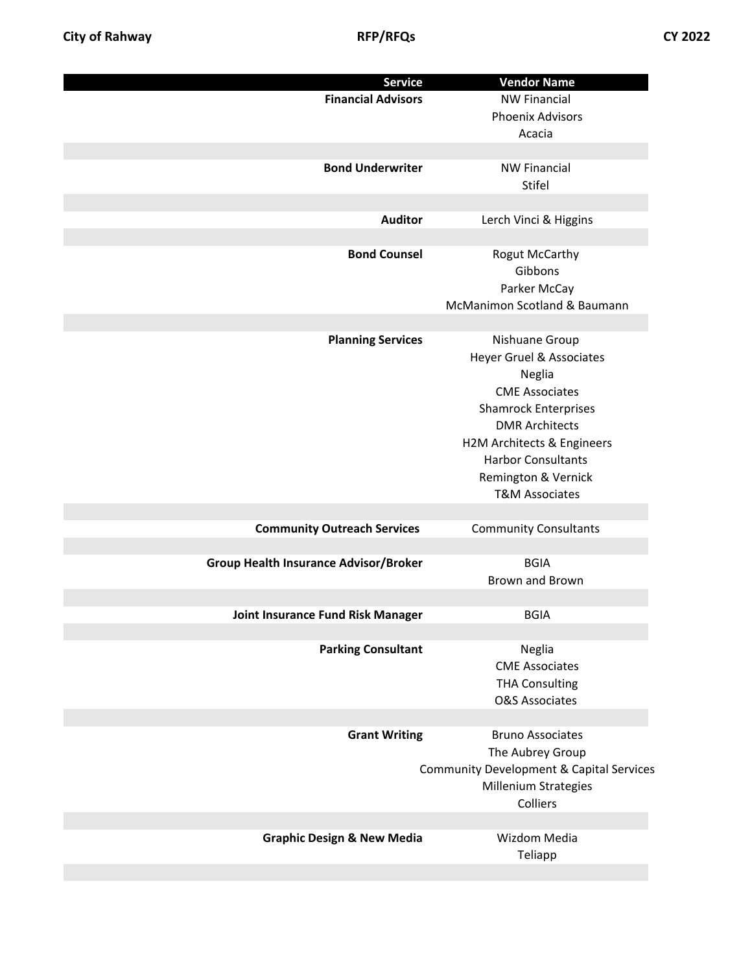| <b>Service</b>                               | <b>Vendor Name</b>                                  |
|----------------------------------------------|-----------------------------------------------------|
| <b>Financial Advisors</b>                    | <b>NW Financial</b>                                 |
|                                              | <b>Phoenix Advisors</b>                             |
|                                              | Acacia                                              |
|                                              |                                                     |
| <b>Bond Underwriter</b>                      | <b>NW Financial</b>                                 |
|                                              | Stifel                                              |
|                                              |                                                     |
| <b>Auditor</b>                               | Lerch Vinci & Higgins                               |
|                                              |                                                     |
| <b>Bond Counsel</b>                          |                                                     |
|                                              | <b>Rogut McCarthy</b>                               |
|                                              | Gibbons                                             |
|                                              | Parker McCay                                        |
|                                              | McManimon Scotland & Baumann                        |
|                                              |                                                     |
| <b>Planning Services</b>                     | Nishuane Group                                      |
|                                              | Heyer Gruel & Associates                            |
|                                              | Neglia                                              |
|                                              | <b>CME Associates</b>                               |
|                                              | <b>Shamrock Enterprises</b>                         |
|                                              | <b>DMR Architects</b>                               |
|                                              | H2M Architects & Engineers                          |
|                                              | <b>Harbor Consultants</b>                           |
|                                              |                                                     |
|                                              | Remington & Vernick                                 |
|                                              | <b>T&amp;M Associates</b>                           |
|                                              |                                                     |
| <b>Community Outreach Services</b>           | <b>Community Consultants</b>                        |
|                                              |                                                     |
| <b>Group Health Insurance Advisor/Broker</b> | <b>BGIA</b>                                         |
|                                              | Brown and Brown                                     |
|                                              |                                                     |
| <b>Joint Insurance Fund Risk Manager</b>     | <b>BGIA</b>                                         |
|                                              |                                                     |
| <b>Parking Consultant</b>                    | Neglia                                              |
|                                              | <b>CME Associates</b>                               |
|                                              | <b>THA Consulting</b>                               |
|                                              | <b>O&amp;S Associates</b>                           |
|                                              |                                                     |
| <b>Grant Writing</b>                         | <b>Bruno Associates</b>                             |
|                                              | The Aubrey Group                                    |
|                                              | <b>Community Development &amp; Capital Services</b> |
|                                              | Millenium Strategies                                |
|                                              | Colliers                                            |
|                                              |                                                     |
|                                              | Wizdom Media                                        |
| <b>Graphic Design &amp; New Media</b>        |                                                     |
|                                              | Teliapp                                             |
|                                              |                                                     |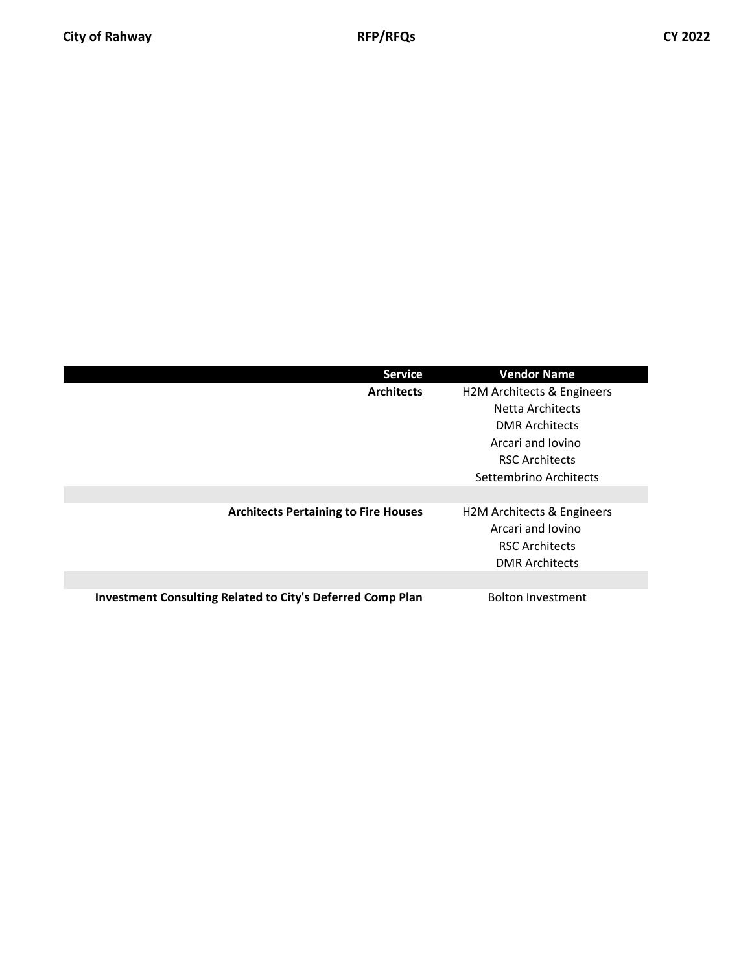| <b>Service</b>                                             | <b>Vendor Name</b>         |
|------------------------------------------------------------|----------------------------|
| <b>Architects</b>                                          | H2M Architects & Engineers |
|                                                            | Netta Architects           |
|                                                            | <b>DMR Architects</b>      |
|                                                            | Arcari and Jovino          |
|                                                            | <b>RSC Architects</b>      |
|                                                            | Settembrino Architects     |
|                                                            |                            |
| <b>Architects Pertaining to Fire Houses</b>                | H2M Architects & Engineers |
|                                                            | Arcari and Jovino          |
|                                                            | <b>RSC Architects</b>      |
|                                                            | <b>DMR Architects</b>      |
|                                                            |                            |
| Investment Consulting Related to City's Deferred Comp Plan | <b>Bolton Investment</b>   |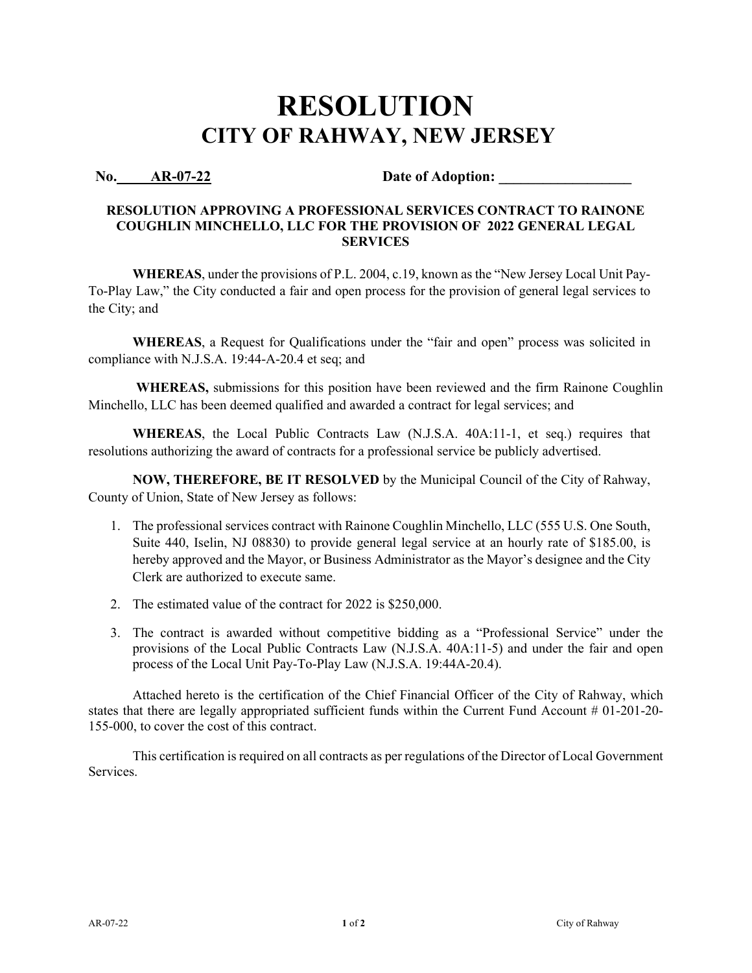### **No. AR-07-22 Date of Adoption:**

### **RESOLUTION APPROVING A PROFESSIONAL SERVICES CONTRACT TO RAINONE COUGHLIN MINCHELLO, LLC FOR THE PROVISION OF 2022 GENERAL LEGAL SERVICES**

**WHEREAS**, under the provisions of P.L. 2004, c.19, known as the "New Jersey Local Unit Pay-To-Play Law," the City conducted a fair and open process for the provision of general legal services to the City; and

**WHEREAS**, a Request for Qualifications under the "fair and open" process was solicited in compliance with N.J.S.A. 19:44-A-20.4 et seq; and

**WHEREAS,** submissions for this position have been reviewed and the firm Rainone Coughlin Minchello, LLC has been deemed qualified and awarded a contract for legal services; and

**WHEREAS**, the Local Public Contracts Law (N.J.S.A. 40A:11-1, et seq.) requires that resolutions authorizing the award of contracts for a professional service be publicly advertised.

**NOW, THEREFORE, BE IT RESOLVED** by the Municipal Council of the City of Rahway, County of Union, State of New Jersey as follows:

- 1. The professional services contract with Rainone Coughlin Minchello, LLC (555 U.S. One South, Suite 440, Iselin, NJ 08830) to provide general legal service at an hourly rate of \$185.00, is hereby approved and the Mayor, or Business Administrator as the Mayor's designee and the City Clerk are authorized to execute same.
- 2. The estimated value of the contract for 2022 is \$250,000.
- 3. The contract is awarded without competitive bidding as a "Professional Service" under the provisions of the Local Public Contracts Law (N.J.S.A. 40A:11-5) and under the fair and open process of the Local Unit Pay-To-Play Law (N.J.S.A. 19:44A-20.4).

Attached hereto is the certification of the Chief Financial Officer of the City of Rahway, which states that there are legally appropriated sufficient funds within the Current Fund Account # 01-201-20- 155-000, to cover the cost of this contract.

This certification is required on all contracts as per regulations of the Director of Local Government Services.